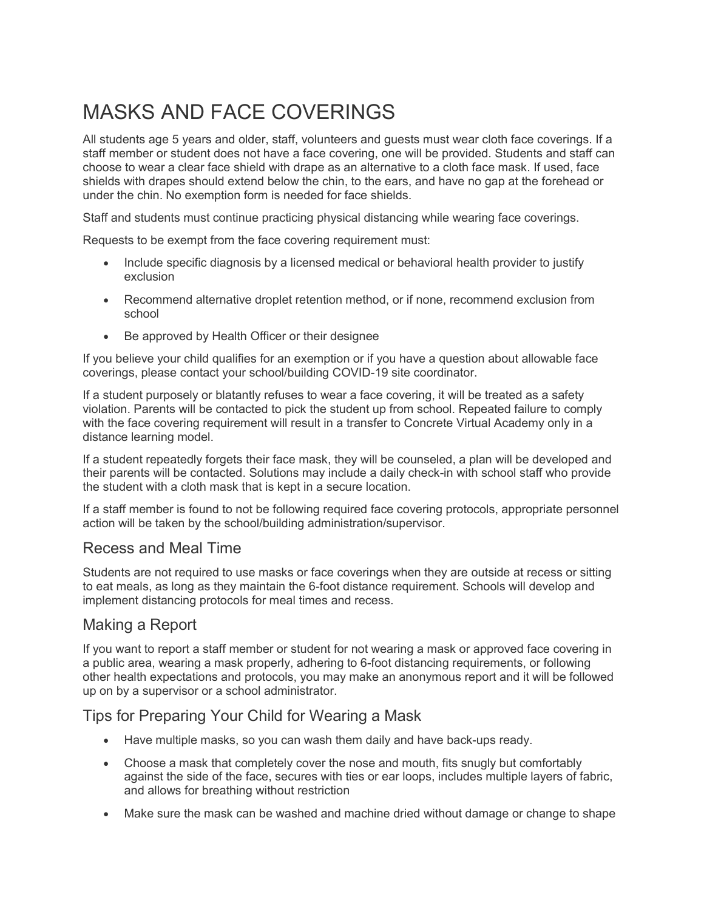# MASKS AND FACE COVERINGS

All students age 5 years and older, staff, volunteers and guests must wear cloth face coverings. If a staff member or student does not have a face covering, one will be provided. Students and staff can choose to wear a clear face shield with drape as an alternative to a cloth face mask. If used, face shields with drapes should extend below the chin, to the ears, and have no gap at the forehead or under the chin. No exemption form is needed for face shields.

Staff and students must continue practicing physical distancing while wearing face coverings.

Requests to be exempt from the face covering requirement must:

- Include specific diagnosis by a licensed medical or behavioral health provider to justify exclusion
- Recommend alternative droplet retention method, or if none, recommend exclusion from school
- Be approved by Health Officer or their designee

If you believe your child qualifies for an exemption or if you have a question about allowable face coverings, please contact your school/building COVID-19 site coordinator.

If a student purposely or blatantly refuses to wear a face covering, it will be treated as a safety violation. Parents will be contacted to pick the student up from school. Repeated failure to comply with the face covering requirement will result in a transfer to Concrete Virtual Academy only in a distance learning model.

If a student repeatedly forgets their face mask, they will be counseled, a plan will be developed and their parents will be contacted. Solutions may include a daily check-in with school staff who provide the student with a cloth mask that is kept in a secure location.

If a staff member is found to not be following required face covering protocols, appropriate personnel action will be taken by the school/building administration/supervisor.

#### Recess and Meal Time

Students are not required to use masks or face coverings when they are outside at recess or sitting to eat meals, as long as they maintain the 6-foot distance requirement. Schools will develop and implement distancing protocols for meal times and recess.

#### Making a Report

If you want to report a staff member or student for not wearing a mask or approved face covering in a public area, wearing a mask properly, adhering to 6-foot distancing requirements, or following other health expectations and protocols, you may make an anonymous report and it will be followed up on by a supervisor or a school administrator.

#### Tips for Preparing Your Child for Wearing a Mask

- Have multiple masks, so you can wash them daily and have back-ups ready.
- Choose a mask that completely cover the nose and mouth, fits snugly but comfortably against the side of the face, secures with ties or ear loops, includes multiple layers of fabric, and allows for breathing without restriction
- Make sure the mask can be washed and machine dried without damage or change to shape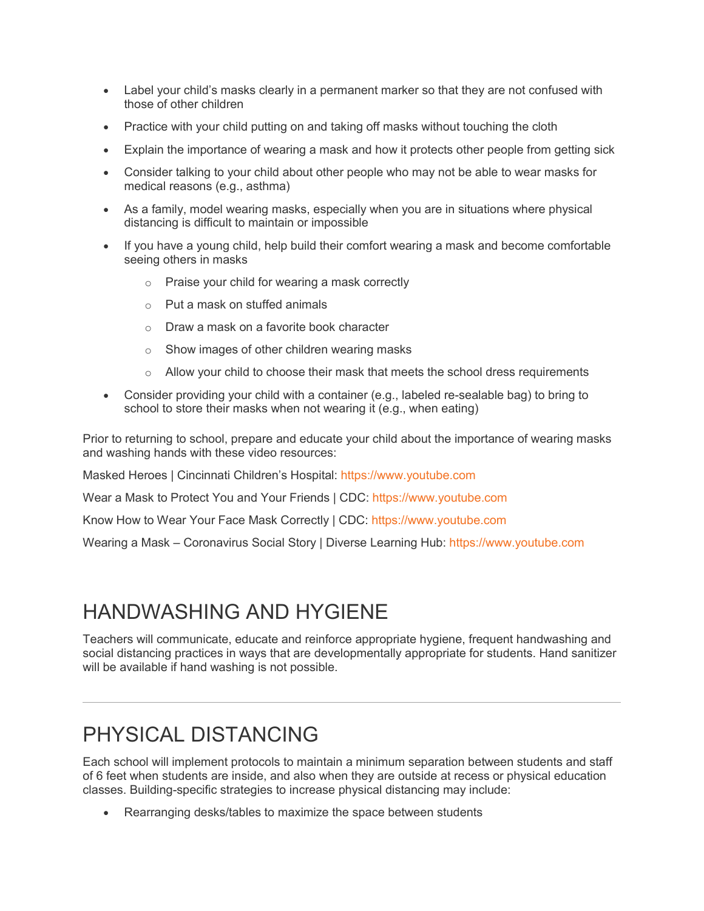- Label your child's masks clearly in a permanent marker so that they are not confused with those of other children
- Practice with your child putting on and taking off masks without touching the cloth
- Explain the importance of wearing a mask and how it protects other people from getting sick
- Consider talking to your child about other people who may not be able to wear masks for medical reasons (e.g., asthma)
- As a family, model wearing masks, especially when you are in situations where physical distancing is difficult to maintain or impossible
- If you have a young child, help build their comfort wearing a mask and become comfortable seeing others in masks
	- o Praise your child for wearing a mask correctly
	- o Put a mask on stuffed animals
	- o Draw a mask on a favorite book character
	- o Show images of other children wearing masks
	- $\circ$  Allow your child to choose their mask that meets the school dress requirements
- Consider providing your child with a container (e.g., labeled re-sealable bag) to bring to school to store their masks when not wearing it (e.g., when eating)

Prior to returning to school, prepare and educate your child about the importance of wearing masks and washing hands with these video resources:

Masked Heroes | Cincinnati Children's Hospital: [https://www.youtube.com](https://www.youtube.com/watch?v=4KRuP1QGmhU)

Wear a Mask to Protect You and Your Friends | CDC: [https://www.youtube.com](https://www.youtube.com/watch?v=Mn6axdkbGd4)

Know How to Wear Your Face Mask Correctly | CDC: [https://www.youtube.com](https://www.youtube.com/watch?v=dSvff0QljHQ)

Wearing a Mask – Coronavirus Social Story | Diverse Learning Hub: [https://www.youtube.com](https://www.youtube.com/watch?v=gJIQn1cSfVk)

## HANDWASHING AND HYGIENE

Teachers will communicate, educate and reinforce appropriate hygiene, frequent handwashing and social distancing practices in ways that are developmentally appropriate for students. Hand sanitizer will be available if hand washing is not possible.

## PHYSICAL DISTANCING

Each school will implement protocols to maintain a minimum separation between students and staff of 6 feet when students are inside, and also when they are outside at recess or physical education classes. Building-specific strategies to increase physical distancing may include:

• Rearranging desks/tables to maximize the space between students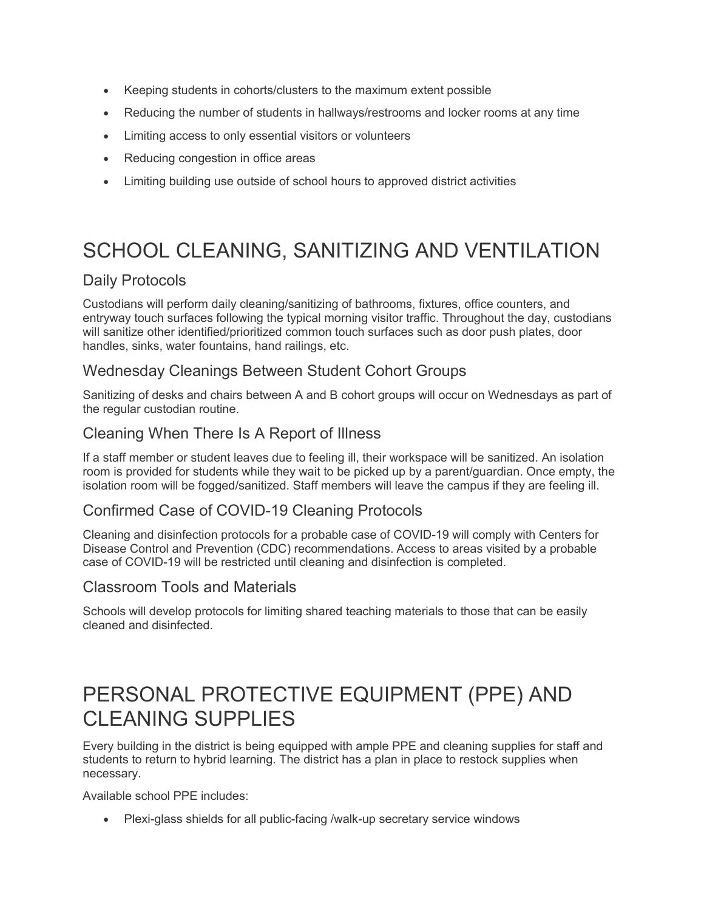- Keeping students in cohorts/clusters to the maximum extent possible
- Reducing the number of students in hallways/restrooms and locker rooms at any time
- Limiting access to only essential visitors or volunteers
- Reducing congestion in office areas
- Limiting building use outside of school hours to approved district activities

# SCHOOL CLEANING, SANITIZING AND VENTILATION

### Daily Protocols

Custodians will perform daily cleaning/sanitizing of bathrooms, fixtures, office counters, and entryway touch surfaces following the typical morning visitor traffic. Throughout the day, custodians will sanitize other identified/prioritized common touch surfaces such as door push plates, door handles, sinks, water fountains, hand railings, etc.

#### Wednesday Cleanings Between Student Cohort Groups

Sanitizing of desks and chairs between A and B cohort groups will occur on Wednesdays as part of the regular custodian routine.

#### Cleaning When There Is A Report of Illness

If a staff member or student leaves due to feeling ill, their workspace will be sanitized. An isolation room is provided for students while they wait to be picked up by a parent/guardian. Once empty, the isolation room will be fogged/sanitized. Staff members will leave the campus if they are feeling ill.

### Confirmed Case of COVID-19 Cleaning Protocols

Cleaning and disinfection protocols for a probable case of COVID-19 will comply with Centers for Disease Control and Prevention (CDC) recommendations. Access to areas visited by a probable case of COVID-19 will be restricted until cleaning and disinfection is completed.

#### Classroom Tools and Materials

Schools will develop protocols for limiting shared teaching materials to those that can be easily cleaned and disinfected.

## PERSONAL PROTECTIVE EQUIPMENT (PPE) AND CLEANING SUPPLIES

Every building in the district is being equipped with ample PPE and cleaning supplies for staff and students to return to hybrid learning. The district has a plan in place to restock supplies when necessary.

Available school PPE includes:

• Plexi-glass shields for all public-facing /walk-up secretary service windows